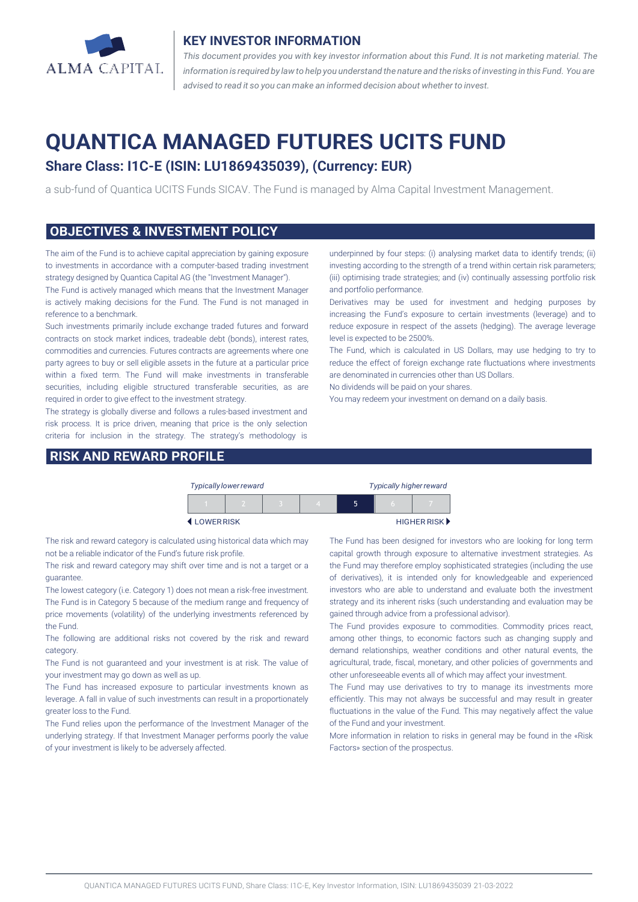

### **KEY INVESTOR INFORMATION**

*This document provides you with key investor information about this Fund. It is not marketing material. The* information is required by law to help you understand the nature and the risks of investing in this Fund. You are *advised to read it so you can make an informed decision about whether to invest.*

# **QUANTICA MANAGED FUTURES UCITS FUND**

## **Share Class: I1C-E (ISIN: LU1869435039), (Currency: EUR)**

a sub-fund of Quantica UCITS Funds SICAV. The Fund is managed by Alma Capital Investment Management.

#### **OBJECTIVES & INVESTMENT POLICY**

The aim of the Fund is to achieve capital appreciation by gaining exposure to investments in accordance with a computer-based trading investment strategy designed by Quantica Capital AG (the "Investment Manager").

The Fund is actively managed which means that the Investment Manager is actively making decisions for the Fund. The Fund is not managed in reference to a benchmark.

Such investments primarily include exchange traded futures and forward contracts on stock market indices, tradeable debt (bonds), interest rates, commodities and currencies. Futures contracts are agreements where one party agrees to buy or sell eligible assets in the future at a particular price within a fixed term. The Fund will make investments in transferable securities, including eligible structured transferable securities, as are required in order to give effect to the investment strategy.

The strategy is globally diverse and follows a rules-based investment and risk process. It is price driven, meaning that price is the only selection criteria for inclusion in the strategy. The strategy's methodology is

### **RISK AND REWARD PROFILE**

underpinned by four steps: (i) analysing market data to identify trends; (ii) investing according to the strength of a trend within certain risk parameters; (iii) optimising trade strategies; and (iv) continually assessing portfolio risk and portfolio performance.

Derivatives may be used for investment and hedging purposes by increasing the Fund's exposure to certain investments (leverage) and to reduce exposure in respect of the assets (hedging). The average leverage level is expected to be 2500%.

The Fund, which is calculated in US Dollars, may use hedging to try to reduce the effect of foreign exchange rate fluctuations where investments are denominated in currencies other than US Dollars.

No dividends will be paid on your shares.

You may redeem your investment on demand on a daily basis.

|           |  | <b>Typically lower reward</b> |  | <b>Typically higher reward</b> |  |  |             |
|-----------|--|-------------------------------|--|--------------------------------|--|--|-------------|
|           |  |                               |  |                                |  |  |             |
| LOWERRISK |  |                               |  |                                |  |  | HIGHER RISK |

The risk and reward category is calculated using historical data which may not be a reliable indicator of the Fund's future risk profile.

The risk and reward category may shift over time and is not a target or a guarantee.

The lowest category (i.e. Category 1) does not mean a risk-free investment. The Fund is in Category 5 because of the medium range and frequency of price movements (volatility) of the underlying investments referenced by the Fund.

The following are additional risks not covered by the risk and reward category.

The Fund is not guaranteed and your investment is at risk. The value of your investment may go down as well as up.

The Fund has increased exposure to particular investments known as leverage. A fall in value of such investments can result in a proportionately greater loss to the Fund.

The Fund relies upon the performance of the Investment Manager of the underlying strategy. If that Investment Manager performs poorly the value of your investment is likely to be adversely affected.

The Fund has been designed for investors who are looking for long term capital growth through exposure to alternative investment strategies. As the Fund may therefore employ sophisticated strategies (including the use of derivatives), it is intended only for knowledgeable and experienced investors who are able to understand and evaluate both the investment strategy and its inherent risks (such understanding and evaluation may be gained through advice from a professional advisor).

The Fund provides exposure to commodities. Commodity prices react, among other things, to economic factors such as changing supply and demand relationships, weather conditions and other natural events, the agricultural, trade, fiscal, monetary, and other policies of governments and other unforeseeable events all of which may affect your investment.

The Fund may use derivatives to try to manage its investments more efficiently. This may not always be successful and may result in greater fluctuations in the value of the Fund. This may negatively affect the value of the Fund and your investment.

More information in relation to risks in general may be found in the «Risk Factors» section of the prospectus.